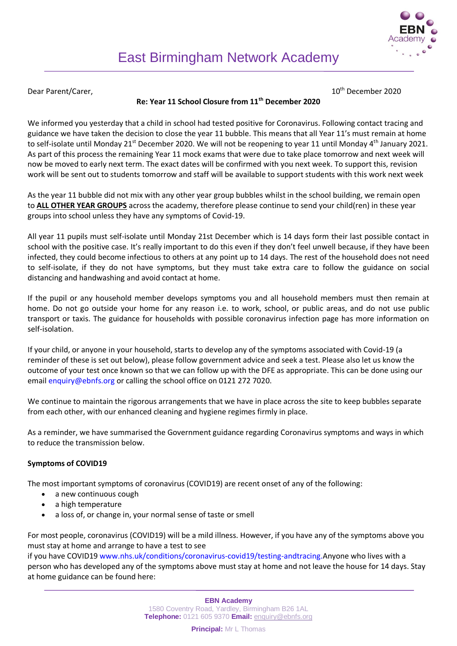Dear Parent/Carer, 10th December 2020

# **Re: Year 11 School Closure from 11th December 2020**

We informed you yesterday that a child in school had tested positive for Coronavirus. Following contact tracing and guidance we have taken the decision to close the year 11 bubble. This means that all Year 11's must remain at home to self-isolate until Monday 21<sup>st</sup> December 2020. We will not be reopening to year 11 until Monday 4<sup>th</sup> January 2021. As part of this process the remaining Year 11 mock exams that were due to take place tomorrow and next week will now be moved to early next term. The exact dates will be confirmed with you next week. To support this, revision work will be sent out to students tomorrow and staff will be available to support students with this work next week

As the year 11 bubble did not mix with any other year group bubbles whilst in the school building, we remain open to **ALL OTHER YEAR GROUPS** across the academy, therefore please continue to send your child(ren) in these year groups into school unless they have any symptoms of Covid-19.

All year 11 pupils must self-isolate until Monday 21st December which is 14 days form their last possible contact in school with the positive case. It's really important to do this even if they don't feel unwell because, if they have been infected, they could become infectious to others at any point up to 14 days. The rest of the household does not need to self-isolate, if they do not have symptoms, but they must take extra care to follow the guidance on social distancing and handwashing and avoid contact at home.

If the pupil or any household member develops symptoms you and all household members must then remain at home. Do not go outside your home for any reason i.e. to work, school, or public areas, and do not use public transport or taxis. The guidance for households with possible coronavirus infection page has more information on self-isolation.

If your child, or anyone in your household, starts to develop any of the symptoms associated with Covid-19 (a reminder of these is set out below), please follow government advice and seek a test. Please also let us know the outcome of your test once known so that we can follow up with the DFE as appropriate. This can be done using our email enquiry@ebnfs.org or calling the school office on 0121 272 7020.

We continue to maintain the rigorous arrangements that we have in place across the site to keep bubbles separate from each other, with our enhanced cleaning and hygiene regimes firmly in place.

As a reminder, we have summarised the Government guidance regarding Coronavirus symptoms and ways in which to reduce the transmission below.

## **Symptoms of COVID19**

The most important symptoms of coronavirus (COVID19) are recent onset of any of the following:

- a new continuous cough
- a high temperature
- a loss of, or change in, your normal sense of taste or smell

For most people, coronavirus (COVID19) will be a mild illness. However, if you have any of the symptoms above you must stay at home and arrange to have a test to see

if you have COVID19 www.nhs.uk/conditions/coronavirus-covid19/testing-andtracing.Anyone who lives with a person who has developed any of the symptoms above must stay at home and not leave the house for 14 days. Stay at home guidance can be found here: